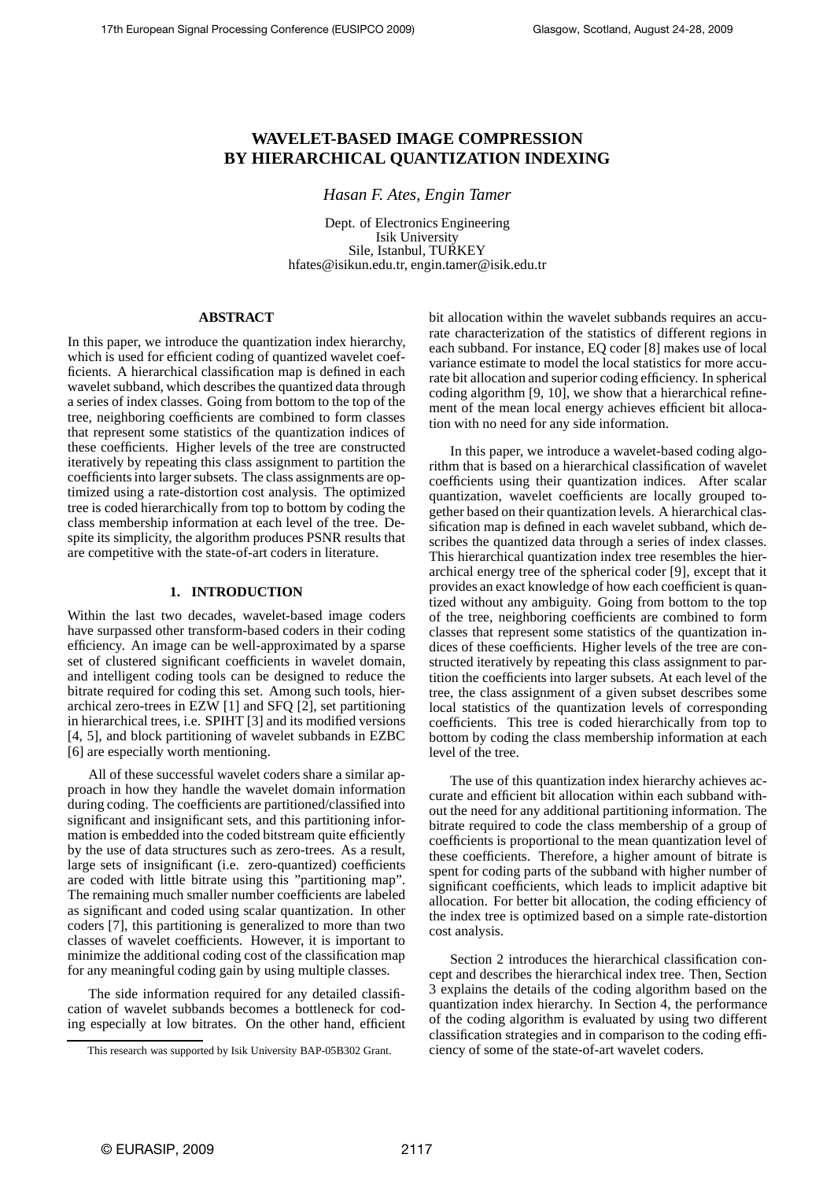# **WAVELET-BASED IMAGE COMPRESSION BY HIERARCHICAL QUANTIZATION INDEXING**

*Hasan F. Ates, Engin Tamer*

Dept. of Electronics Engineering Isik University Sile, Istanbul, TURKEY hfates@isikun.edu.tr, engin.tamer@isik.edu.tr

# **ABSTRACT**

In this paper, we introduce the quantization index hierarchy, which is used for efficient coding of quantized wavelet coefficients. A hierarchical classification map is defined in each wavelet subband, which describes the quantized data through a series of index classes. Going from bottom to the top of the tree, neighboring coefficients are combined to form classes that represent some statistics of the quantization indices of these coefficients. Higher levels of the tree are constructed iteratively by repeating this class assignment to partition the coefficients into larger subsets. The class assignments are optimized using a rate-distortion cost analysis. The optimized tree is coded hierarchically from top to bottom by coding the class membership information at each level of the tree. Despite its simplicity, the algorithm produces PSNR results that are competitive with the state-of-art coders in literature.

# **1. INTRODUCTION**

Within the last two decades, wavelet-based image coders have surpassed other transform-based coders in their coding efficiency. An image can be well-approximated by a sparse set of clustered significant coefficients in wavelet domain, and intelligent coding tools can be designed to reduce the bitrate required for coding this set. Among such tools, hierarchical zero-trees in EZW [1] and SFQ [2], set partitioning in hierarchical trees, i.e. SPIHT [3] and its modified versions [4, 5], and block partitioning of wavelet subbands in EZBC [6] are especially worth mentioning.

All of these successful wavelet coders share a similar approach in how they handle the wavelet domain information during coding. The coefficients are partitioned/classified into significant and insignificant sets, and this partitioning information is embedded into the coded bitstream quite efficiently by the use of data structures such as zero-trees. As a result, large sets of insignificant (i.e. zero-quantized) coefficients are coded with little bitrate using this "partitioning map". The remaining much smaller number coefficients are labeled as significant and coded using scalar quantization. In other coders [7], this partitioning is generalized to more than two classes of wavelet coefficients. However, it is important to minimize the additional coding cost of the classification map for any meaningful coding gain by using multiple classes.

The side information required for any detailed classification of wavelet subbands becomes a bottleneck for coding especially at low bitrates. On the other hand, efficient bit allocation within the wavelet subbands requires an accurate characterization of the statistics of different regions in each subband. For instance, EQ coder [8] makes use of local variance estimate to model the local statistics for more accurate bit allocation and superior coding efficiency. In spherical coding algorithm [9, 10], we show that a hierarchical refinement of the mean local energy achieves efficient bit allocation with no need for any side information.

In this paper, we introduce a wavelet-based coding algorithm that is based on a hierarchical classification of wavelet coefficients using their quantization indices. After scalar quantization, wavelet coefficients are locally grouped together based on their quantization levels. A hierarchical classification map is defined in each wavelet subband, which describes the quantized data through a series of index classes. This hierarchical quantization index tree resembles the hierarchical energy tree of the spherical coder [9], except that it provides an exact knowledge of how each coefficient is quantized without any ambiguity. Going from bottom to the top of the tree, neighboring coefficients are combined to form classes that represent some statistics of the quantization indices of these coefficients. Higher levels of the tree are constructed iteratively by repeating this class assignment to partition the coefficients into larger subsets. At each level of the tree, the class assignment of a given subset describes some local statistics of the quantization levels of corresponding coefficients. This tree is coded hierarchically from top to bottom by coding the class membership information at each level of the tree.

The use of this quantization index hierarchy achieves accurate and efficient bit allocation within each subband without the need for any additional partitioning information. The bitrate required to code the class membership of a group of coefficients is proportional to the mean quantization level of these coefficients. Therefore, a higher amount of bitrate is spent for coding parts of the subband with higher number of significant coefficients, which leads to implicit adaptive bit allocation. For better bit allocation, the coding efficiency of the index tree is optimized based on a simple rate-distortion cost analysis.

Section 2 introduces the hierarchical classification concept and describes the hierarchical index tree. Then, Section 3 explains the details of the coding algorithm based on the quantization index hierarchy. In Section 4, the performance of the coding algorithm is evaluated by using two different classification strategies and in comparison to the coding efficiency of some of the state-of-art wavelet coders.

This research was supported by Isik University BAP-05B302 Grant.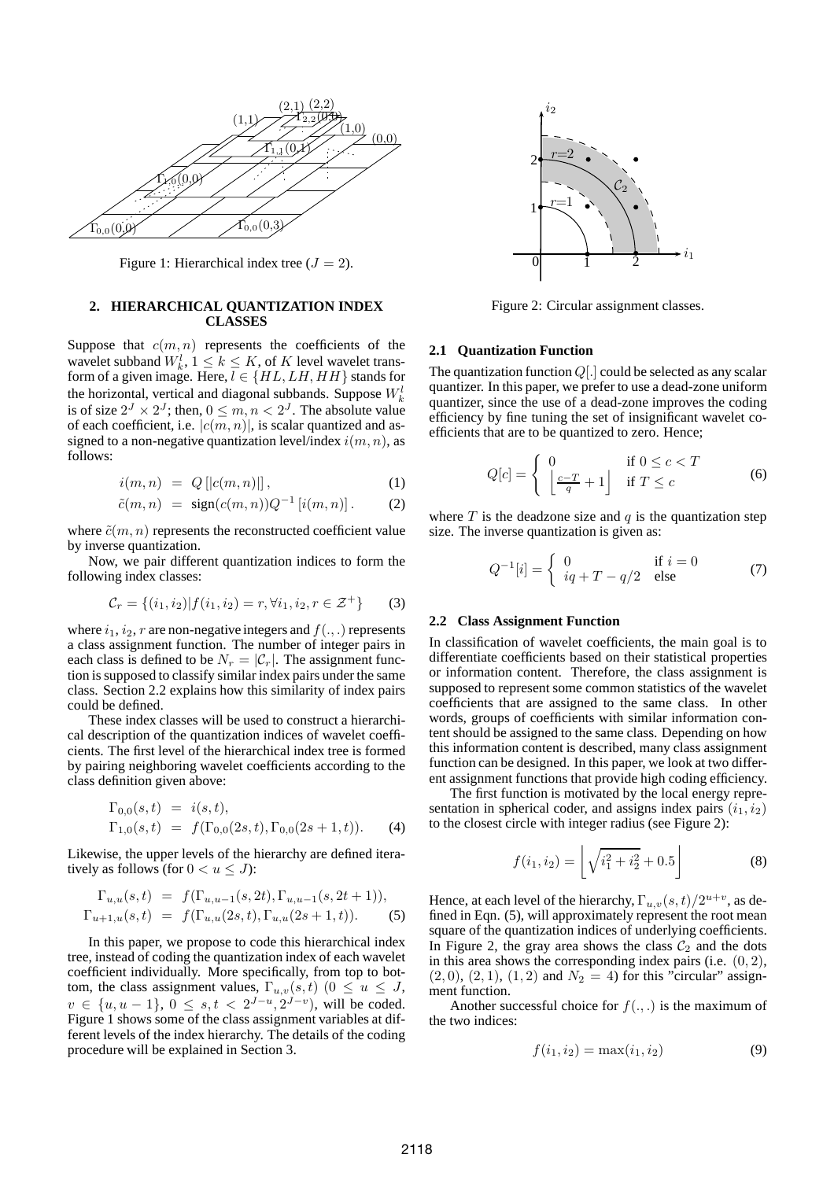

Figure 1: Hierarchical index tree  $(J = 2)$ .

# **2. HIERARCHICAL QUANTIZATION INDEX CLASSES**

Suppose that  $c(m, n)$  represents the coefficients of the wavelet subband  $W_k^l$ ,  $1 \leq k \leq K$ , of K level wavelet transform of a given image. Here,  $l \in \{HL, LH, HH\}$  stands for the horizontal, vertical and diagonal subbands. Suppose  $W_k^l$ is of size  $2^J \times 2^J$ ; then,  $0 \le m, n < 2^J$ . The absolute value of each coefficient, i.e.  $|c(m, n)|$ , is scalar quantized and assigned to a non-negative quantization level/index  $i(m, n)$ , as follows:

$$
i(m,n) = Q[[c(m,n)]], \qquad (1)
$$

$$
\tilde{c}(m,n) = sign(c(m,n))Q^{-1}[i(m,n)]. \qquad (2)
$$

where  $\tilde{c}(m, n)$  represents the reconstructed coefficient value by inverse quantization.

Now, we pair different quantization indices to form the following index classes:

$$
\mathcal{C}_r = \{(i_1, i_2)| f(i_1, i_2) = r, \forall i_1, i_2, r \in \mathcal{Z}^+\}\
$$
 (3)

where  $i_1$ ,  $i_2$ , r are non-negative integers and  $f(.,.)$  represents a class assignment function. The number of integer pairs in each class is defined to be  $N_r = |\mathcal{C}_r|$ . The assignment function is supposed to classify similar index pairs under the same class. Section 2.2 explains how this similarity of index pairs could be defined.

These index classes will be used to construct a hierarchical description of the quantization indices of wavelet coefficients. The first level of the hierarchical index tree is formed by pairing neighboring wavelet coefficients according to the class definition given above:

$$
\Gamma_{0,0}(s,t) = i(s,t),
$$
  
\n
$$
\Gamma_{1,0}(s,t) = f(\Gamma_{0,0}(2s,t), \Gamma_{0,0}(2s+1,t)).
$$
 (4)

Likewise, the upper levels of the hierarchy are defined iteratively as follows (for  $0 < u < J$ ):

$$
\Gamma_{u,u}(s,t) = f(\Gamma_{u,u-1}(s,2t), \Gamma_{u,u-1}(s,2t+1)),
$$
  
\n
$$
\Gamma_{u+1,u}(s,t) = f(\Gamma_{u,u}(2s,t), \Gamma_{u,u}(2s+1,t)).
$$
 (5)

In this paper, we propose to code this hierarchical index tree, instead of coding the quantization index of each wavelet coefficient individually. More specifically, from top to bottom, the class assignment values,  $\Gamma_{u,v}(s,t)$   $(0 \le u \le J,$  $v \in \{u, u-1\}, 0 \leq s, t < 2^{J-u}, 2^{J-v}$ , will be coded. Figure 1 shows some of the class assignment variables at different levels of the index hierarchy. The details of the coding procedure will be explained in Section 3.



Figure 2: Circular assignment classes.

#### **2.1 Quantization Function**

The quantization function  $Q(.)$  could be selected as any scalar quantizer. In this paper, we prefer to use a dead-zone uniform quantizer, since the use of a dead-zone improves the coding efficiency by fine tuning the set of insignificant wavelet coefficients that are to be quantized to zero. Hence;

$$
Q[c] = \begin{cases} 0 & \text{if } 0 \le c < T \\ \left\lfloor \frac{c - T}{q} + 1 \right\rfloor & \text{if } T \le c \end{cases}
$$
 (6)

where  $T$  is the deadzone size and  $q$  is the quantization step size. The inverse quantization is given as:

$$
Q^{-1}[i] = \begin{cases} 0 & \text{if } i = 0\\ iq + T - q/2 & \text{else} \end{cases}
$$
 (7)

### **2.2 Class Assignment Function**

In classification of wavelet coefficients, the main goal is to differentiate coefficients based on their statistical properties or information content. Therefore, the class assignment is supposed to represent some common statistics of the wavelet coefficients that are assigned to the same class. In other words, groups of coefficients with similar information content should be assigned to the same class. Depending on how this information content is described, many class assignment function can be designed. In this paper, we look at two different assignment functions that provide high coding efficiency.

The first function is motivated by the local energy representation in spherical coder, and assigns index pairs  $(i_1, i_2)$ to the closest circle with integer radius (see Figure 2):

$$
f(i_1, i_2) = \left\lfloor \sqrt{i_1^2 + i_2^2} + 0.5 \right\rfloor \tag{8}
$$

Hence, at each level of the hierarchy,  $\Gamma_{u,v}(s,t)/2^{u+v}$ , as defined in Eqn. (5), will approximately represent the root mean square of the quantization indices of underlying coefficients. In Figure 2, the gray area shows the class  $C_2$  and the dots in this area shows the corresponding index pairs (i.e.  $(0, 2)$ ,  $(2, 0), (2, 1), (1, 2)$  and  $N_2 = 4$ ) for this "circular" assignment function.

Another successful choice for  $f(.,.)$  is the maximum of the two indices:

$$
f(i_1, i_2) = \max(i_1, i_2)
$$
 (9)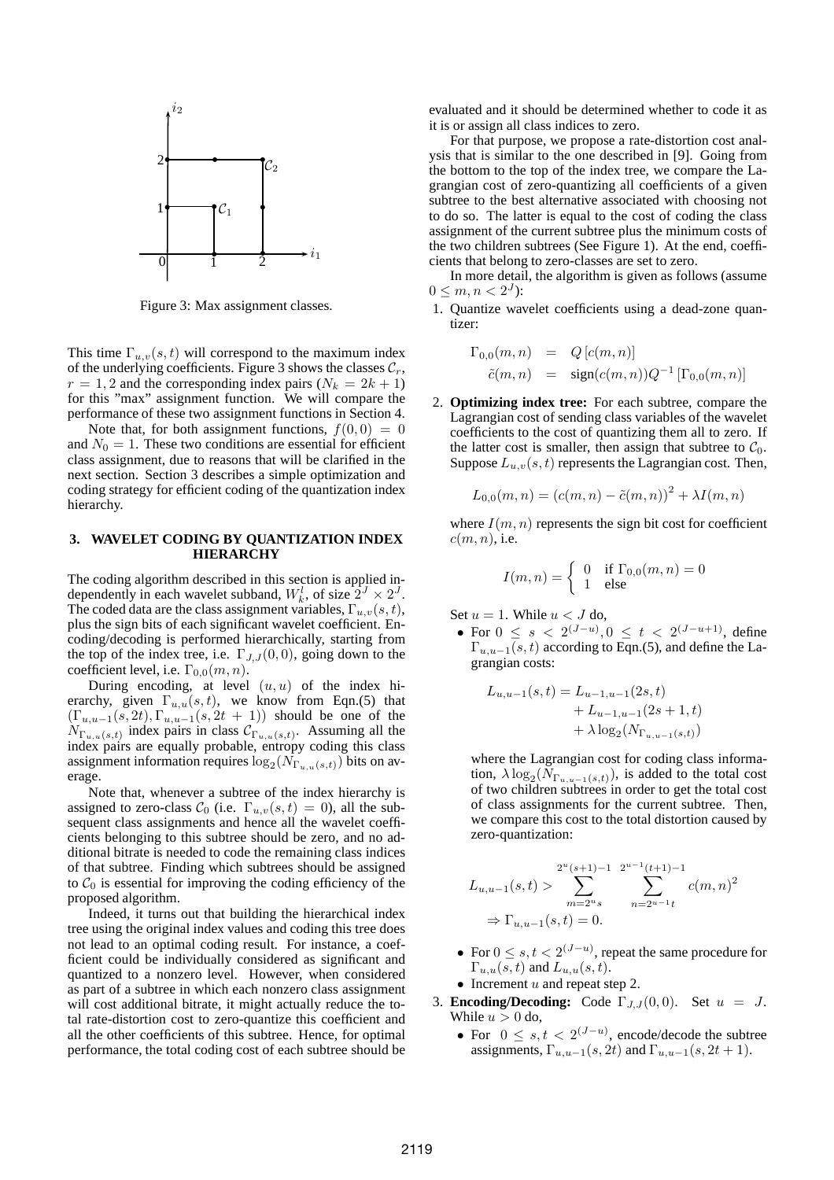

Figure 3: Max assignment classes.

This time  $\Gamma_{u,v}(s,t)$  will correspond to the maximum index of the underlying coefficients. Figure 3 shows the classes  $\mathcal{C}_r$ ,  $r = 1, 2$  and the corresponding index pairs  $(N_k = 2k + 1)$ for this "max" assignment function. We will compare the performance of these two assignment functions in Section 4.

Note that, for both assignment functions,  $f(0, 0) = 0$ and  $N_0 = 1$ . These two conditions are essential for efficient class assignment, due to reasons that will be clarified in the next section. Section 3 describes a simple optimization and coding strategy for efficient coding of the quantization index hierarchy.

### **3. WAVELET CODING BY QUANTIZATION INDEX HIERARCHY**

The coding algorithm described in this section is applied independently in each wavelet subband,  $W_k^l$ , of size  $2^J \times 2^J$ . The coded data are the class assignment variables,  $\Gamma_{u,v}(s,t)$ , plus the sign bits of each significant wavelet coefficient. Encoding/decoding is performed hierarchically, starting from the top of the index tree, i.e.  $\Gamma_{J,J}(0,0)$ , going down to the coefficient level, i.e.  $\Gamma_{0,0}(m, n)$ .

During encoding, at level  $(u, u)$  of the index hierarchy, given  $\Gamma_{u,u}(s,t)$ , we know from Eqn.(5) that  $(\Gamma_{u,u-1}(s, 2t), \Gamma_{u,u-1}(s, 2t + 1))$  should be one of the  $N_{\Gamma_{u,u}(s,t)}$  index pairs in class  $\mathcal{C}_{\Gamma_{u,u}(s,t)}$ . Assuming all the index pairs are equally probable, entropy coding this class assignment information requires  $\log_2(N_{\Gamma_{u,u}(s,t)})$  bits on average.

Note that, whenever a subtree of the index hierarchy is assigned to zero-class  $C_0$  (i.e.  $\Gamma_{u,v}(s,t) = 0$ ), all the subsequent class assignments and hence all the wavelet coefficients belonging to this subtree should be zero, and no additional bitrate is needed to code the remaining class indices of that subtree. Finding which subtrees should be assigned to  $C_0$  is essential for improving the coding efficiency of the proposed algorithm.

Indeed, it turns out that building the hierarchical index tree using the original index values and coding this tree does not lead to an optimal coding result. For instance, a coefficient could be individually considered as significant and quantized to a nonzero level. However, when considered as part of a subtree in which each nonzero class assignment will cost additional bitrate, it might actually reduce the total rate-distortion cost to zero-quantize this coefficient and all the other coefficients of this subtree. Hence, for optimal performance, the total coding cost of each subtree should be

evaluated and it should be determined whether to code it as it is or assign all class indices to zero.

For that purpose, we propose a rate-distortion cost analysis that is similar to the one described in [9]. Going from the bottom to the top of the index tree, we compare the Lagrangian cost of zero-quantizing all coefficients of a given subtree to the best alternative associated with choosing not to do so. The latter is equal to the cost of coding the class assignment of the current subtree plus the minimum costs of the two children subtrees (See Figure 1). At the end, coefficients that belong to zero-classes are set to zero.

In more detail, the algorithm is given as follows (assume  $0 \leq m, n < 2^J$ :

1. Quantize wavelet coefficients using a dead-zone quantizer:

$$
\Gamma_{0,0}(m,n) = Q[c(m,n)]
$$
  

$$
\tilde{c}(m,n) = \text{sign}(c(m,n))Q^{-1}[\Gamma_{0,0}(m,n)]
$$

2. **Optimizing index tree:** For each subtree, compare the Lagrangian cost of sending class variables of the wavelet coefficients to the cost of quantizing them all to zero. If the latter cost is smaller, then assign that subtree to  $C_0$ . Suppose  $L_{u,v}(s,t)$  represents the Lagrangian cost. Then,

$$
L_{0,0}(m,n) = (c(m,n) - \tilde{c}(m,n))^{2} + \lambda I(m,n)
$$

where  $I(m, n)$  represents the sign bit cost for coefficient  $c(m, n)$ , i.e.

$$
I(m,n) = \begin{cases} 0 & \text{if } \Gamma_{0,0}(m,n) = 0\\ 1 & \text{else} \end{cases}
$$

Set  $u = 1$ . While  $u < J$  do,

• For  $0 \leq s < 2^{(J-u)}, 0 \leq t < 2^{(J-u+1)}$ , define  $\Gamma_{u,u-1}(s,t)$  according to Eqn.(5), and define the Lagrangian costs:

$$
L_{u,u-1}(s,t) = L_{u-1,u-1}(2s,t)
$$
  
+  $L_{u-1,u-1}(2s+1,t)$   
+  $\lambda \log_2(N_{\Gamma_{u,u-1}(s,t)})$ 

where the Lagrangian cost for coding class information,  $\lambda \log_2(N_{\Gamma_{u,u-1}(s,t)})$ , is added to the total cost of two children subtrees in order to get the total cost of class assignments for the current subtree. Then, we compare this cost to the total distortion caused by zero-quantization:

$$
L_{u,u-1}(s,t) > \sum_{m=2^u s}^{2^u(s+1)-1} \sum_{n=2^{u-1} t}^{2^{u-1}(t+1)-1} c(m,n)^2
$$
  

$$
\Rightarrow \Gamma_{u,u-1}(s,t) = 0.
$$

- For  $0 \le s, t < 2^{(J-u)}$ , repeat the same procedure for  $\Gamma_{u,u}(s,t)$  and  $L_{u,u}(s,t)$ .
- Increment  $u$  and repeat step 2.
- 3. **Encoding/Decoding:** Code  $\Gamma_{J,J}(0,0)$ . Set  $u = J$ . While  $u > 0$  do,
	- For  $0 \leq s, t < 2^{(J-u)}$ , encode/decode the subtree assignments,  $\Gamma_{u,u-1}(s, 2t)$  and  $\Gamma_{u,u-1}(s, 2t+1)$ .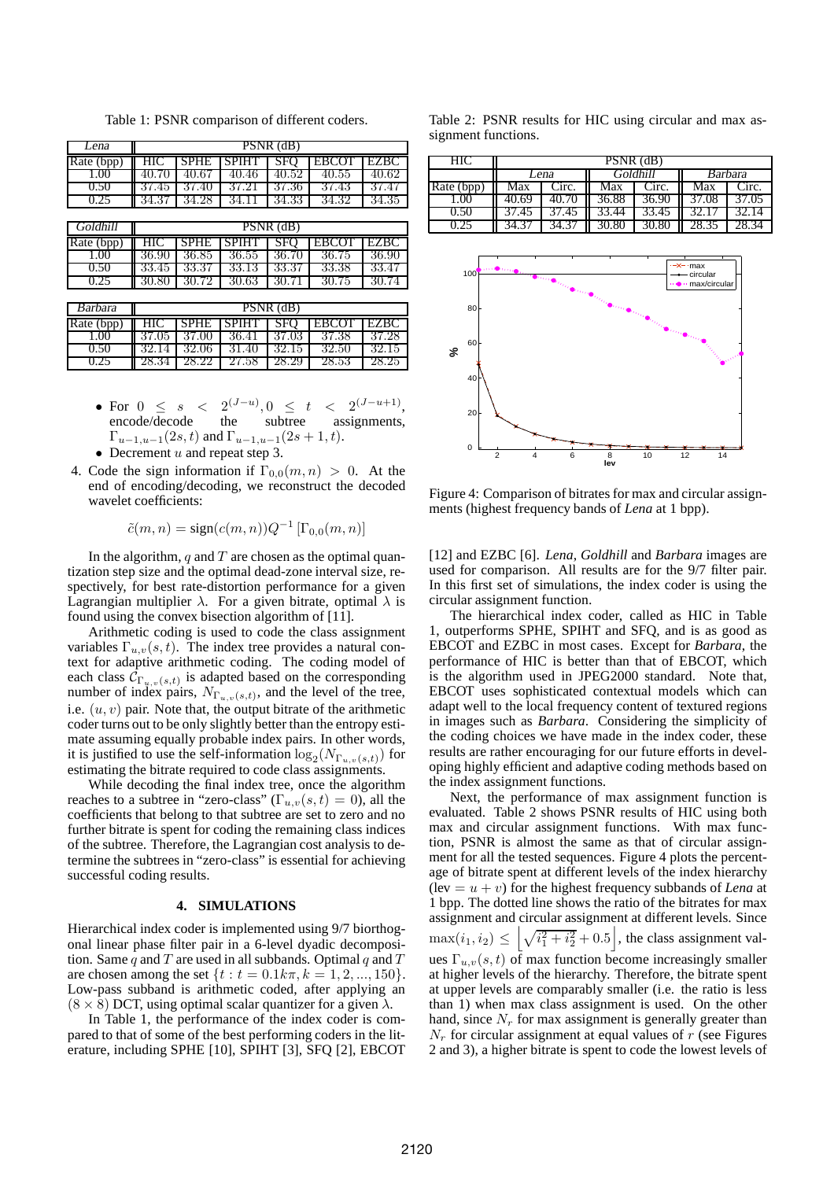Table 1: PSNR comparison of different coders.

| Lena       | PSNR (dB) |  |            |       |              |      |
|------------|-----------|--|------------|-------|--------------|------|
| Rate (bpp) | НIС       |  | SPHE SPIHT |       | <b>EBCOT</b> | EZBC |
| .UU        |           |  |            | 40.52 | 40.55        |      |
| 0.50       |           |  |            | 37.36 | .43          |      |
|            |           |  |            |       |              |      |

| Goldhill   | PSNR (dB) |       |                |         |                   |       |
|------------|-----------|-------|----------------|---------|-------------------|-------|
| Rate (bpp) | HIC –     |       | SPHE SPIHT SFO |         | <b>EBCOT EZBC</b> |       |
|            | -36.90    | 36.85 | 36.55          | - 36.70 | -36.75            | 36.90 |
| 0.50       |           | 33.37 | 33.13          | 33.37   | -33.38            | 33.47 |
|            |           |       |                |         |                   |       |

| Barbara   | PSNR (dB) |  |                   |     |              |         |
|-----------|-----------|--|-------------------|-----|--------------|---------|
| Rate (bpp | HIC –     |  | <b>SPHE SPIHT</b> | SFO | <b>EBCOT</b> | TEZBC.  |
| ,,,,      | 37.05     |  |                   |     | -37.38       | 37.28   |
| (1.50     |           |  |                   |     | 32.5U        | 32. I.S |
|           |           |  |                   |     |              |         |
|           |           |  |                   |     |              |         |

- For  $0 \leq s < 2^{(J-u)}, 0 \leq t < 2^{(J-u+1)}$ , encode/decode the subtree assignments,  $\Gamma_{u-1,u-1}(2s,t)$  and  $\Gamma_{u-1,u-1}(2s+1,t)$ .
- Decrement  $u$  and repeat step 3.
- 4. Code the sign information if  $\Gamma_{0,0}(m,n) > 0$ . At the end of encoding/decoding, we reconstruct the decoded wavelet coefficients:

$$
\tilde{c}(m,n) = \text{sign}(c(m,n))Q^{-1}\left[\Gamma_{0,0}(m,n)\right]
$$

In the algorithm,  $q$  and  $T$  are chosen as the optimal quantization step size and the optimal dead-zone interval size, respectively, for best rate-distortion performance for a given Lagrangian multiplier  $\lambda$ . For a given bitrate, optimal  $\lambda$  is found using the convex bisection algorithm of [11].

Arithmetic coding is used to code the class assignment variables  $\Gamma_{u,v}(s,t)$ . The index tree provides a natural context for adaptive arithmetic coding. The coding model of each class  $\mathcal{C}_{\Gamma_{u,v}(s,t)}$  is adapted based on the corresponding number of index pairs,  $N_{\Gamma_{u,v}(s,t)}$ , and the level of the tree, i.e.  $(u, v)$  pair. Note that, the output bitrate of the arithmetic coder turns out to be only slightly better than the entropy estimate assuming equally probable index pairs. In other words, it is justified to use the self-information  $\log_2(N_{\Gamma_{u,v}(s,t)})$  for estimating the bitrate required to code class assignments.

While decoding the final index tree, once the algorithm reaches to a subtree in "zero-class" (Γ<sub>u,v</sub> $(s, t) = 0$ ), all the coefficients that belong to that subtree are set to zero and no further bitrate is spent for coding the remaining class indices of the subtree. Therefore, the Lagrangian cost analysis to determine the subtrees in "zero-class" is essential for achieving successful coding results.

#### **4. SIMULATIONS**

Hierarchical index coder is implemented using 9/7 biorthogonal linear phase filter pair in a 6-level dyadic decomposition. Same q and T are used in all subbands. Optimal q and T are chosen among the set  $\{t : t = 0.1k\pi, k = 1, 2, ..., 150\}.$ Low-pass subband is arithmetic coded, after applying an  $(8 \times 8)$  DCT, using optimal scalar quantizer for a given  $\lambda$ .

In Table 1, the performance of the index coder is compared to that of some of the best performing coders in the literature, including SPHE [10], SPIHT [3], SFQ [2], EBCOT

Table 2: PSNR results for HIC using circular and max assignment functions.

| HІC        | $PSNR$ (dB) |       |          |       |         |         |
|------------|-------------|-------|----------|-------|---------|---------|
|            | Lena        |       | Goldhill |       | Barbara |         |
| Rate (bpp) | Max         | Circ. | Max      | Circ. | Max     | Circ.   |
| ,,,,       |             |       | 36.88    | 36.YU |         | $370 -$ |
| ו זר ו     |             | 37.43 |          | 33.43 |         |         |
|            |             |       |          |       |         |         |



Figure 4: Comparison of bitrates for max and circular assignments (highest frequency bands of *Lena* at 1 bpp).

[12] and EZBC [6]. *Lena*, *Goldhill* and *Barbara* images are used for comparison. All results are for the 9/7 filter pair. In this first set of simulations, the index coder is using the circular assignment function.

The hierarchical index coder, called as HIC in Table 1, outperforms SPHE, SPIHT and SFQ, and is as good as EBCOT and EZBC in most cases. Except for *Barbara*, the performance of HIC is better than that of EBCOT, which is the algorithm used in JPEG2000 standard. Note that, EBCOT uses sophisticated contextual models which can adapt well to the local frequency content of textured regions in images such as *Barbara*. Considering the simplicity of the coding choices we have made in the index coder, these results are rather encouraging for our future efforts in developing highly efficient and adaptive coding methods based on the index assignment functions.

Next, the performance of max assignment function is evaluated. Table 2 shows PSNR results of HIC using both max and circular assignment functions. With max function, PSNR is almost the same as that of circular assignment for all the tested sequences. Figure 4 plots the percentage of bitrate spent at different levels of the index hierarchy  $(\text{lev} = u + v)$  for the highest frequency subbands of *Lena* at 1 bpp. The dotted line shows the ratio of the bitrates for max assignment and circular assignment at different levels. Since  $\max(i_1, i_2) \leq \left\lfloor \sqrt{i_1^2 + i_2^2} + 0.5 \right\rfloor$ , the class assignment values  $\Gamma_{u,v}(s,t)$  of max function become increasingly smaller at higher levels of the hierarchy. Therefore, the bitrate spent at upper levels are comparably smaller (i.e. the ratio is less than 1) when max class assignment is used. On the other hand, since  $N_r$  for max assignment is generally greater than  $N_r$  for circular assignment at equal values of r (see Figures 2 and 3), a higher bitrate is spent to code the lowest levels of